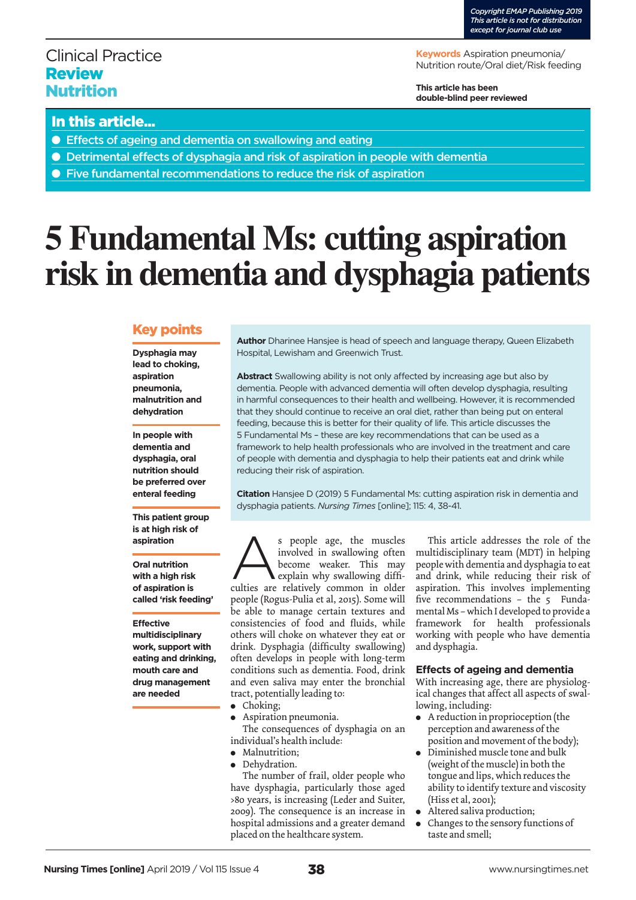# Clinical Practice Review Nutrition

**Keywords** Aspiration pneumonia/ Nutrition route/Oral diet/Risk feeding

**This article has been double-blind peer reviewed**

## In this article...

- Effects of ageing and dementia on swallowing and eating
- Detrimental effects of dysphagia and risk of aspiration in people with dementia
- Five fundamental recommendations to reduce the risk of aspiration

# **5 Fundamental Ms: cutting aspiration risk in dementia and dysphagia patients**

### Key points

**Dysphagia may lead to choking, aspiration pneumonia, malnutrition and dehydration**

**In people with dementia and dysphagia, oral nutrition should be preferred over enteral feeding** 

**This patient group is at high risk of aspiration**

**Oral nutrition with a high risk of aspiration is called 'risk feeding'** 

**Effective multidisciplinary work, support with eating and drinking, mouth care and drug management are needed** 

**Author** Dharinee Hansjee is head of speech and language therapy, Queen Elizabeth Hospital, Lewisham and Greenwich Trust.

**Abstract** Swallowing ability is not only affected by increasing age but also by dementia. People with advanced dementia will often develop dysphagia, resulting in harmful consequences to their health and wellbeing. However, it is recommended that they should continue to receive an oral diet, rather than being put on enteral feeding, because this is better for their quality of life. This article discusses the 5 Fundamental Ms – these are key recommendations that can be used as a framework to help health professionals who are involved in the treatment and care of people with dementia and dysphagia to help their patients eat and drink while reducing their risk of aspiration.

**Citation** Hansjee D (2019) 5 Fundamental Ms: cutting aspiration risk in dementia and dysphagia patients. *Nursing Times* [online]; 115: 4, 38-41.

s people age, the muscles involved in swallowing often become weaker. This may explain why swallowing difficulties are relatively common in older people (Rogus-Pulia et al, 2015). Some will be able to manage certain textures and consistencies of food and fluids, while others will choke on whatever they eat or drink. Dysphagia (difficulty swallowing) often develops in people with long-term conditions such as dementia. Food, drink and even saliva may enter the bronchial tract, potentially leading to:

- $\bullet$  Choking;
- Aspiration pneumonia.

The consequences of dysphagia on an individual's health include:

- Malnutrition;
- **Dehydration.**

The number of frail, older people who have dysphagia, particularly those aged >80 years, is increasing (Leder and Suiter, 2009). The consequence is an increase in hospital admissions and a greater demand placed on the healthcare system.

This article addresses the role of the multidisciplinary team (MDT) in helping people with dementia and dysphagia to eat and drink, while reducing their risk of aspiration. This involves implementing five recommendations – the 5 Fundamental Ms – which I developed to provide a framework for health professionals working with people who have dementia and dysphagia.

#### **Effects of ageing and dementia**

With increasing age, there are physiological changes that affect all aspects of swallowing, including:

- A reduction in proprioception (the perception and awareness of the position and movement of the body);
- Diminished muscle tone and bulk (weight of the muscle) in both the tongue and lips, which reduces the ability to identify texture and viscosity (Hiss et al, 2001);
- Altered saliva production;
- Changes to the sensory functions of taste and smell;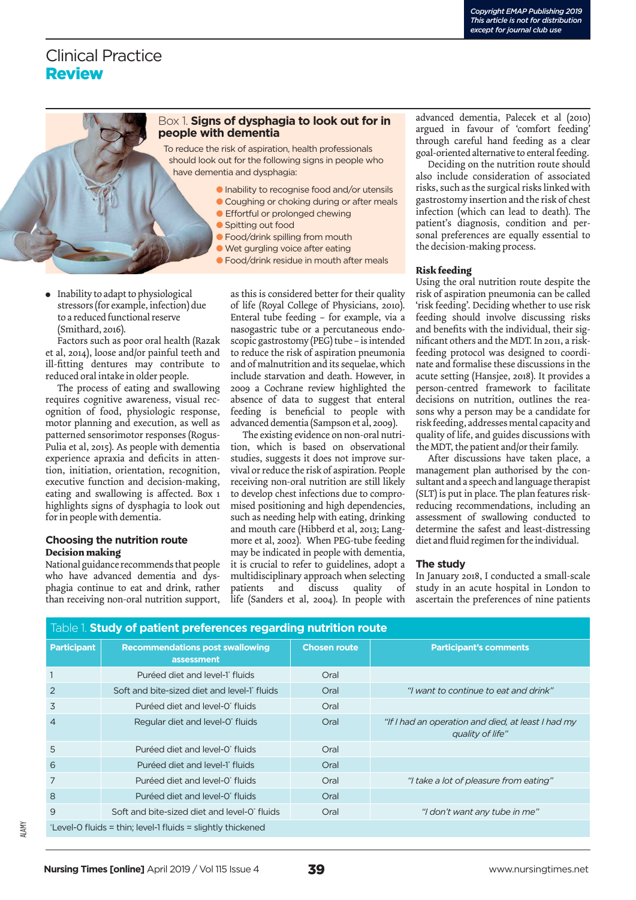# Clinical Practice **Review**

#### Box 1. **Signs of dysphagia to look out for in people with dementia**

To reduce the risk of aspiration, health professionals should look out for the following signs in people who have dementia and dysphagia:

- **Inability to recognise food and/or utensils**
- **Coughing or choking during or after meals Effortful or prolonged chewing**
- 
- **Spitting out food**
- **Food/drink spilling from mouth**
- l Wet gurgling voice after eating
- **Food/drink residue in mouth after meals**
- Inability to adapt to physiological stressors (for example, infection) due to a reduced functional reserve (Smithard, 2016).

Factors such as poor oral health (Razak et al, 2014), loose and/or painful teeth and ill-fitting dentures may contribute to reduced oral intake in older people.

The process of eating and swallowing requires cognitive awareness, visual recognition of food, physiologic response, motor planning and execution, as well as patterned sensorimotor responses (Rogus-Pulia et al, 2015). As people with dementia experience apraxia and deficits in attention, initiation, orientation, recognition, executive function and decision-making, eating and swallowing is affected. Box 1 highlights signs of dysphagia to look out for in people with dementia.

#### **Choosing the nutrition route Decision making**

National guidance recommends that people who have advanced dementia and dysphagia continue to eat and drink, rather than receiving non-oral nutrition support,

as this is considered better for their quality of life (Royal College of Physicians, 2010). Enteral tube feeding – for example, via a nasogastric tube or a percutaneous endoscopic gastrostomy (PEG) tube – is intended to reduce the risk of aspiration pneumonia and of malnutrition and its sequelae, which include starvation and death. However, in 2009 a Cochrane review highlighted the absence of data to suggest that enteral feeding is beneficial to people with advanced dementia (Sampson et al, 2009).

The existing evidence on non-oral nutrition, which is based on observational studies, suggests it does not improve survival or reduce the risk of aspiration. People receiving non-oral nutrition are still likely to develop chest infections due to compromised positioning and high dependencies, such as needing help with eating, drinking and mouth care (Hibberd et al, 2013; Langmore et al, 2002). When PEG-tube feeding may be indicated in people with dementia, it is crucial to refer to guidelines, adopt a multidisciplinary approach when selecting patients and discuss quality of life (Sanders et al, 2004). In people with advanced dementia, Palecek et al (2010) argued in favour of 'comfort feeding' through careful hand feeding as a clear goal-oriented alternative to enteral feeding.

Deciding on the nutrition route should also include consideration of associated risks, such as the surgical risks linked with gastrostomy insertion and the risk of chest infection (which can lead to death). The patient's diagnosis, condition and personal preferences are equally essential to the decision-making process.

#### **Risk feeding**

Using the oral nutrition route despite the risk of aspiration pneumonia can be called 'risk feeding'. Deciding whether to use risk feeding should involve discussing risks and benefits with the individual, their significant others and the MDT. In 2011, a riskfeeding protocol was designed to coordinate and formalise these discussions in the acute setting (Hansjee, 2018). It provides a person-centred framework to facilitate decisions on nutrition, outlines the reasons why a person may be a candidate for risk feeding, addresses mental capacity and quality of life, and guides discussions with the MDT, the patient and/or their family.

After discussions have taken place, a management plan authorised by the consultant and a speech and language therapist (SLT) is put in place. The plan features riskreducing recommendations, including an assessment of swallowing conducted to determine the safest and least-distressing diet and fluid regimen for the individual.

#### **The study**

In January 2018, I conducted a small-scale study in an acute hospital in London to ascertain the preferences of nine patients

| Table 1. Study of patient preferences regarding nutrition route |                                                          |                     |                                                                        |
|-----------------------------------------------------------------|----------------------------------------------------------|---------------------|------------------------------------------------------------------------|
| <b>Participant</b>                                              | <b>Recommendations post swallowing</b><br>assessment     | <b>Chosen route</b> | <b>Participant's comments</b>                                          |
|                                                                 | Puréed diet and level-1' fluids                          | Oral                |                                                                        |
| $\overline{2}$                                                  | Soft and bite-sized diet and level-1 fluids              | Oral                | "I want to continue to eat and drink"                                  |
| 3                                                               | Puréed diet and level-0 <sup>*</sup> fluids              | Oral                |                                                                        |
| 4                                                               | Regular diet and level-O' fluids                         | Oral                | "If I had an operation and died, at least I had my<br>quality of life" |
| 5                                                               | Puréed diet and level-0 <sup>*</sup> fluids              | Oral                |                                                                        |
| 6                                                               | Puréed diet and level-1' fluids                          | Oral                |                                                                        |
| 7                                                               | Puréed diet and level-0 <sup>*</sup> fluids              | Oral                | "I take a lot of pleasure from eating"                                 |
| 8                                                               | Puréed diet and level-0 <sup>*</sup> fluids              | Oral                |                                                                        |
| 9                                                               | Soft and bite-sized diet and level-0 <sup>*</sup> fluids | Oral                | "I don't want any tube in me"                                          |
|                                                                 |                                                          |                     |                                                                        |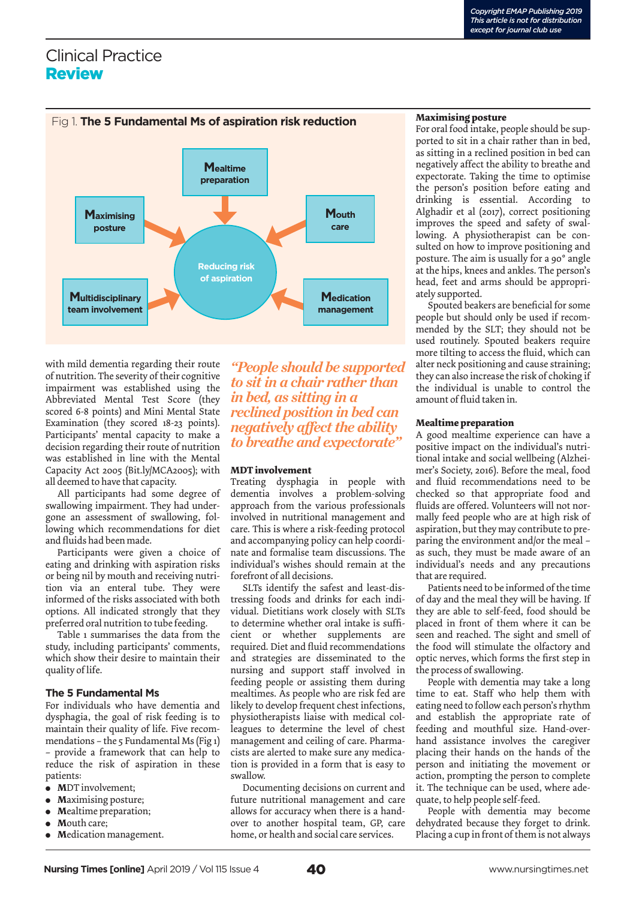## Clinical Practice Review



with mild dementia regarding their route of nutrition. The severity of their cognitive impairment was established using the Abbreviated Mental Test Score (they scored 6-8 points) and Mini Mental State Examination (they scored 18-23 points). Participants' mental capacity to make a decision regarding their route of nutrition was established in line with the Mental Capacity Act 2005 (Bit.ly/MCA2005); with all deemed to have that capacity.

All participants had some degree of swallowing impairment. They had undergone an assessment of swallowing, following which recommendations for diet and fluids had been made.

Participants were given a choice of eating and drinking with aspiration risks or being nil by mouth and receiving nutrition via an enteral tube. They were informed of the risks associated with both options. All indicated strongly that they preferred oral nutrition to tube feeding.

Table 1 summarises the data from the study, including participants' comments, which show their desire to maintain their quality of life.

#### **The 5 Fundamental Ms**

For individuals who have dementia and dysphagia, the goal of risk feeding is to maintain their quality of life. Five recommendations – the 5 Fundamental Ms (Fig 1) – provide a framework that can help to reduce the risk of aspiration in these patients:

- **M**DT involvement;
- **M**aximising posture;
- **M**ealtime preparation;
- **M**outh care;
- **M**edication management.

*"People should be supported to sit in a chair rather than in bed, as sitting in a reclined position in bed can negatively affect the ability to breathe and expectorate"*

#### **MDT involvement**

Treating dysphagia in people with dementia involves a problem-solving approach from the various professionals involved in nutritional management and care. This is where a risk-feeding protocol and accompanying policy can help coordinate and formalise team discussions. The individual's wishes should remain at the forefront of all decisions.

SLTs identify the safest and least-distressing foods and drinks for each individual. Dietitians work closely with SLTs to determine whether oral intake is sufficient or whether supplements are required. Diet and fluid recommendations and strategies are disseminated to the nursing and support staff involved in feeding people or assisting them during mealtimes. As people who are risk fed are likely to develop frequent chest infections, physiotherapists liaise with medical colleagues to determine the level of chest management and ceiling of care. Pharmacists are alerted to make sure any medication is provided in a form that is easy to swallow.

Documenting decisions on current and future nutritional management and care allows for accuracy when there is a handover to another hospital team, GP, care home, or health and social care services.

#### **Maximising posture**

For oral food intake, people should be supported to sit in a chair rather than in bed, as sitting in a reclined position in bed can negatively affect the ability to breathe and expectorate. Taking the time to optimise the person's position before eating and drinking is essential. According to Alghadir et al (2017), correct positioning improves the speed and safety of swallowing. A physiotherapist can be consulted on how to improve positioning and posture. The aim is usually for a 90° angle at the hips, knees and ankles. The person's head, feet and arms should be appropriately supported.

Spouted beakers are beneficial for some people but should only be used if recommended by the SLT; they should not be used routinely. Spouted beakers require more tilting to access the fluid, which can alter neck positioning and cause straining; they can also increase the risk of choking if the individual is unable to control the amount of fluid taken in.

#### **Mealtime preparation**

A good mealtime experience can have a positive impact on the individual's nutritional intake and social wellbeing (Alzheimer's Society, 2016). Before the meal, food and fluid recommendations need to be checked so that appropriate food and fluids are offered. Volunteers will not normally feed people who are at high risk of aspiration, but they may contribute to preparing the environment and/or the meal – as such, they must be made aware of an individual's needs and any precautions that are required.

Patients need to be informed of the time of day and the meal they will be having. If they are able to self-feed, food should be placed in front of them where it can be seen and reached. The sight and smell of the food will stimulate the olfactory and optic nerves, which forms the first step in the process of swallowing.

People with dementia may take a long time to eat. Staff who help them with eating need to follow each person's rhythm and establish the appropriate rate of feeding and mouthful size. Hand-overhand assistance involves the caregiver placing their hands on the hands of the person and initiating the movement or action, prompting the person to complete it. The technique can be used, where adequate, to help people self-feed.

People with dementia may become dehydrated because they forget to drink. Placing a cup in front of them is not always